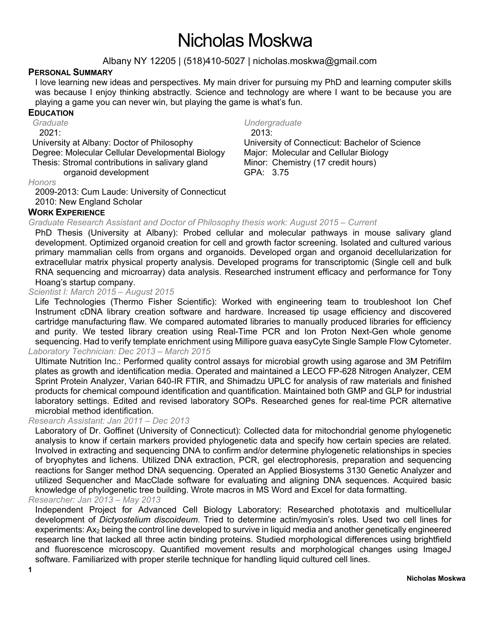# Nicholas Moskwa

Albany NY 12205 | (518)410-5027 | nicholas.moskwa@gmail.com

# **PERSONAL SUMMARY**

I love learning new ideas and perspectives. My main driver for pursuing my PhD and learning computer skills was because I enjoy thinking abstractly. Science and technology are where I want to be because you are playing a game you can never win, but playing the game is what's fun.

# **EDUCATION**

*Graduate*

2021:

University at Albany: Doctor of Philosophy Degree: Molecular Cellular Developmental Biology Thesis: Stromal contributions in salivary gland organoid development

*Undergraduate*

2013: University of Connecticut: Bachelor of Science Major: Molecular and Cellular Biology Minor: Chemistry (17 credit hours) GPA: 3.75

#### *Honors*

2009-2013: Cum Laude: University of Connecticut

#### 2010: New England Scholar **WORK EXPERIENCE**

# *Graduate Research Assistant and Doctor of Philosophy thesis work: August 2015 – Current*

PhD Thesis (University at Albany): Probed cellular and molecular pathways in mouse salivary gland development. Optimized organoid creation for cell and growth factor screening. Isolated and cultured various primary mammalian cells from organs and organoids. Developed organ and organoid decellularization for extracellular matrix physical property analysis. Developed programs for transcriptomic (Single cell and bulk RNA sequencing and microarray) data analysis. Researched instrument efficacy and performance for Tony Hoang's startup company.

# *Scientist I: March 2015 – August 2015*

Life Technologies (Thermo Fisher Scientific): Worked with engineering team to troubleshoot Ion Chef Instrument cDNA library creation software and hardware. Increased tip usage efficiency and discovered cartridge manufacturing flaw. We compared automated libraries to manually produced libraries for efficiency and purity. We tested library creation using Real-Time PCR and Ion Proton Next-Gen whole genome sequencing. Had to verify template enrichment using Millipore guava easyCyte Single Sample Flow Cytometer. *Laboratory Technician: Dec 2013 – March 2015*

# Ultimate Nutrition Inc.: Performed quality control assays for microbial growth using agarose and 3M Petrifilm plates as growth and identification media. Operated and maintained a LECO FP-628 Nitrogen Analyzer, CEM Sprint Protein Analyzer, Varian 640-IR FTIR, and Shimadzu UPLC for analysis of raw materials and finished products for chemical compound identification and quantification. Maintained both GMP and GLP for industrial laboratory settings. Edited and revised laboratory SOPs. Researched genes for real-time PCR alternative microbial method identification.

#### *Research Assistant: Jan 2011 – Dec 2013*

Laboratory of Dr. Goffinet (University of Connecticut): Collected data for mitochondrial genome phylogenetic analysis to know if certain markers provided phylogenetic data and specify how certain species are related. Involved in extracting and sequencing DNA to confirm and/or determine phylogenetic relationships in species of bryophytes and lichens. Utilized DNA extraction, PCR, gel electrophoresis, preparation and sequencing reactions for Sanger method DNA sequencing. Operated an Applied Biosystems 3130 Genetic Analyzer and utilized Sequencher and MacClade software for evaluating and aligning DNA sequences. Acquired basic knowledge of phylogenetic tree building. Wrote macros in MS Word and Excel for data formatting.

# *Researcher: Jan 2013 – May 2013*

Independent Project for Advanced Cell Biology Laboratory: Researched phototaxis and multicellular development of *Dictyostelium discoideum*. Tried to determine actin/myosin's roles. Used two cell lines for experiments: Ax<sub>2</sub> being the control line developed to survive in liquid media and another genetically engineered research line that lacked all three actin binding proteins. Studied morphological differences using brightfield and fluorescence microscopy. Quantified movement results and morphological changes using ImageJ software. Familiarized with proper sterile technique for handling liquid cultured cell lines.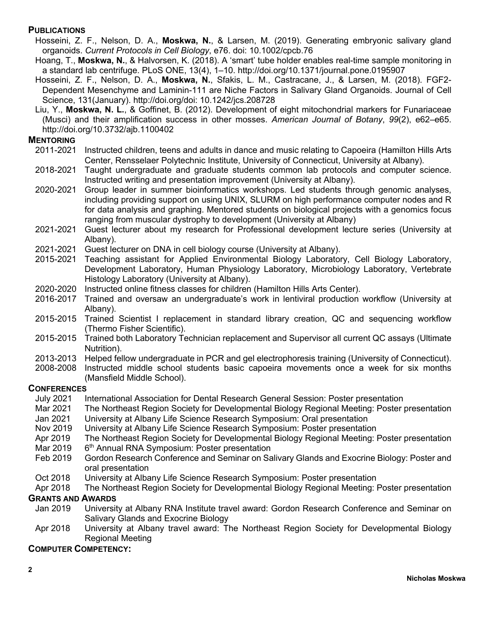# **PUBLICATIONS**

- Hosseini, Z. F., Nelson, D. A., **Moskwa, N.**, & Larsen, M. (2019). Generating embryonic salivary gland organoids. *Current Protocols in Cell Biology*, e76. doi: 10.1002/cpcb.76
- Hoang, T., **Moskwa, N.**, & Halvorsen, K. (2018). A 'smart' tube holder enables real-time sample monitoring in a standard lab centrifuge. PLoS ONE, 13(4), 1–10. http://doi.org/10.1371/journal.pone.0195907
- Hosseini, Z. F., Nelson, D. A., **Moskwa, N.**, Sfakis, L. M., Castracane, J., & Larsen, M. (2018). FGF2- Dependent Mesenchyme and Laminin-111 are Niche Factors in Salivary Gland Organoids. Journal of Cell Science, 131(January). http://doi.org/doi: 10.1242/jcs.208728
- Liu, Y., **Moskwa, N. L.**, & Goffinet, B. (2012). Development of eight mitochondrial markers for Funariaceae (Musci) and their amplification success in other mosses. *American Journal of Botany*, *99*(2), e62–e65. http://doi.org/10.3732/ajb.1100402

# **MENTORING**

- 2011-2021 Instructed children, teens and adults in dance and music relating to Capoeira (Hamilton Hills Arts Center, Rensselaer Polytechnic Institute, University of Connecticut, University at Albany).
- 2018-2021 Taught undergraduate and graduate students common lab protocols and computer science. Instructed writing and presentation improvement (University at Albany).
- 2020-2021 Group leader in summer bioinformatics workshops. Led students through genomic analyses, including providing support on using UNIX, SLURM on high performance computer nodes and R for data analysis and graphing. Mentored students on biological projects with a genomics focus ranging from muscular dystrophy to development (University at Albany)
- 2021-2021 Guest lecturer about my research for Professional development lecture series (University at Albany).
- 2021-2021 Guest lecturer on DNA in cell biology course (University at Albany).
- 2015-2021 Teaching assistant for Applied Environmental Biology Laboratory, Cell Biology Laboratory, Development Laboratory, Human Physiology Laboratory, Microbiology Laboratory, Vertebrate Histology Laboratory (University at Albany).
- 2020-2020 Instructed online fitness classes for children (Hamilton Hills Arts Center).
- 2016-2017 Trained and oversaw an undergraduate's work in lentiviral production workflow (University at Albany).
- 2015-2015 Trained Scientist I replacement in standard library creation, QC and sequencing workflow (Thermo Fisher Scientific).
- 2015-2015 Trained both Laboratory Technician replacement and Supervisor all current QC assays (Ultimate Nutrition).
- 2013-2013 Helped fellow undergraduate in PCR and gel electrophoresis training (University of Connecticut).
- 2008-2008 Instructed middle school students basic capoeira movements once a week for six months (Mansfield Middle School).

#### **CONFERENCES**

- July 2021 International Association for Dental Research General Session: Poster presentation
- Mar 2021 The Northeast Region Society for Developmental Biology Regional Meeting: Poster presentation
- Jan 2021 University at Albany Life Science Research Symposium: Oral presentation
- Nov 2019 University at Albany Life Science Research Symposium: Poster presentation
- Apr 2019 The Northeast Region Society for Developmental Biology Regional Meeting: Poster presentation
- Mar 2019  $6<sup>th</sup>$  Annual RNA Symposium: Poster presentation
- Feb 2019 Gordon Research Conference and Seminar on Salivary Glands and Exocrine Biology: Poster and oral presentation
- Oct 2018 University at Albany Life Science Research Symposium: Poster presentation
- Apr 2018 The Northeast Region Society for Developmental Biology Regional Meeting: Poster presentation

#### **GRANTS AND AWARDS**

- Jan 2019 University at Albany RNA Institute travel award: Gordon Research Conference and Seminar on Salivary Glands and Exocrine Biology
- Apr 2018 University at Albany travel award: The Northeast Region Society for Developmental Biology Regional Meeting

#### **COMPUTER COMPETENCY:**